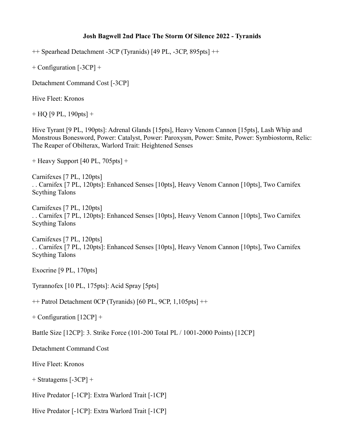## **Josh Bagwell 2nd Place The Storm Of Silence 2022 - Tyranids**

++ Spearhead Detachment -3CP (Tyranids) [49 PL, -3CP, 895pts] ++

+ Configuration [-3CP] +

Detachment Command Cost [-3CP]

Hive Fleet: Kronos

+ HQ [9 PL, 190pts] +

Hive Tyrant [9 PL, 190pts]: Adrenal Glands [15pts], Heavy Venom Cannon [15pts], Lash Whip and Monstrous Bonesword, Power: Catalyst, Power: Paroxysm, Power: Smite, Power: Symbiostorm, Relic: The Reaper of Obilterax, Warlord Trait: Heightened Senses

+ Heavy Support [40 PL, 705pts] +

Carnifexes [7 PL, 120pts] . . Carnifex [7 PL, 120pts]: Enhanced Senses [10pts], Heavy Venom Cannon [10pts], Two Carnifex Scything Talons

Carnifexes [7 PL, 120pts] . . Carnifex [7 PL, 120pts]: Enhanced Senses [10pts], Heavy Venom Cannon [10pts], Two Carnifex Scything Talons

Carnifexes [7 PL, 120pts] . . Carnifex [7 PL, 120pts]: Enhanced Senses [10pts], Heavy Venom Cannon [10pts], Two Carnifex Scything Talons

Exocrine [9 PL, 170pts]

Tyrannofex [10 PL, 175pts]: Acid Spray [5pts]

++ Patrol Detachment 0CP (Tyranids) [60 PL, 9CP, 1,105pts] ++

+ Configuration [12CP] +

Battle Size [12CP]: 3. Strike Force (101-200 Total PL / 1001-2000 Points) [12CP]

Detachment Command Cost

Hive Fleet: Kronos

+ Stratagems [-3CP] +

Hive Predator [-1CP]: Extra Warlord Trait [-1CP]

Hive Predator [-1CP]: Extra Warlord Trait [-1CP]